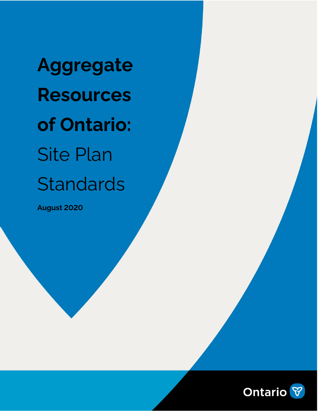**Aggregate Resources of Ontario:** Site Plan **Standards** 

**August 2020**

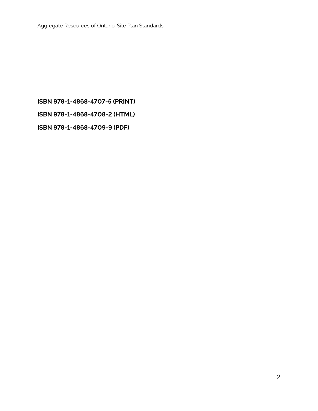### **ISBN 978-1-4868-4707-5 (PRINT)**

**ISBN 978-1-4868-4708-2 (HTML)**

**ISBN 978-1-4868-4709-9 (PDF)**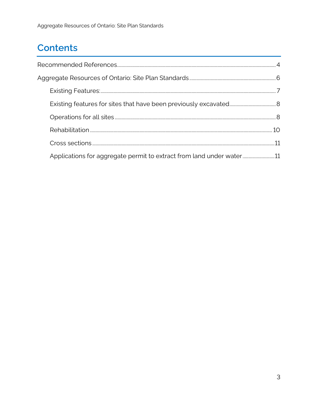# **Contents**

| Applications for aggregate permit to extract from land under water |  |
|--------------------------------------------------------------------|--|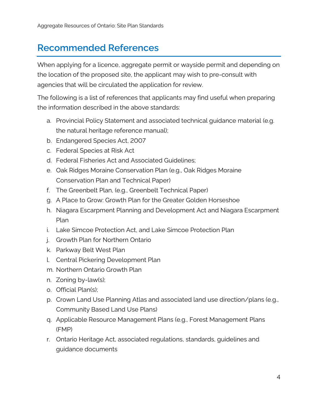## <span id="page-3-0"></span>**Recommended References**

When applying for a licence, aggregate permit or wayside permit and depending on the location of the proposed site, the applicant may wish to pre-consult with agencies that will be circulated the application for review.

The following is a list of references that applicants may find useful when preparing the information described in the above standards:

- a. Provincial Policy Statement and associated technical guidance material (e.g. the natural heritage reference manual);
- b. Endangered Species Act, 2007
- c. Federal Species at Risk Act
- d. Federal Fisheries Act and Associated Guidelines;
- e. Oak Ridges Moraine Conservation Plan (e.g., Oak Ridges Moraine Conservation Plan and Technical Paper)
- f. The Greenbelt Plan, (e.g., Greenbelt Technical Paper)
- g. A Place to Grow: Growth Plan for the Greater Golden Horseshoe
- h. Niagara Escarpment Planning and Development Act and Niagara Escarpment Plan
- i. Lake Simcoe Protection Act, and Lake Simcoe Protection Plan
- j. Growth Plan for Northern Ontario
- k. Parkway Belt West Plan
- l. Central Pickering Development Plan
- m. Northern Ontario Growth Plan
- n. Zoning by-law(s);
- o. Official Plan(s);
- p. Crown Land Use Planning Atlas and associated land use direction/plans (e.g., Community Based Land Use Plans)
- q. Applicable Resource Management Plans (e.g., Forest Management Plans (FMP)
- r. Ontario Heritage Act, associated regulations, standards, guidelines and guidance documents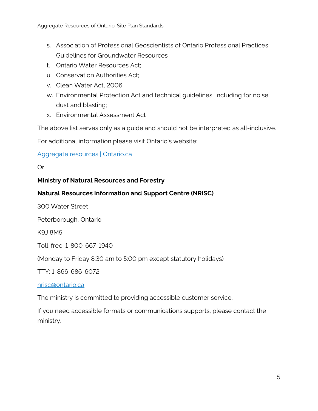- s. Association of Professional Geoscientists of Ontario Professional Practices Guidelines for Groundwater Resources
- t. Ontario Water Resources Act;
- u. Conservation Authorities Act;
- v. Clean Water Act, 2006
- w. Environmental Protection Act and technical guidelines, including for noise, dust and blasting;
- x. Environmental Assessment Act

The above list serves only as a guide and should not be interpreted as all-inclusive.

For additional information please visit Ontario's website:

### [Aggregate resources | Ontario.ca](https://www.ontario.ca/page/aggregate-resources)

### Or

### **Ministry of Natural Resources and Forestry**

### **Natural Resources Information and Support Centre (NRISC)**

300 Water Street

Peterborough, Ontario

K9J 8M5

Toll-free: 1-800-667-1940

(Monday to Friday 8:30 am to 5:00 pm except statutory holidays)

TTY: 1-866-686-6072

#### [nrisc@ontario.ca](mailto:nrisc@ontario.ca)

The ministry is committed to providing accessible customer service.

If you need accessible formats or communications supports, please contact the ministry.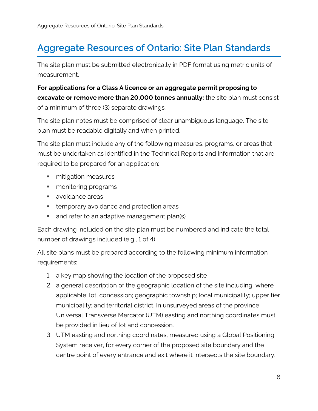# <span id="page-5-0"></span>**Aggregate Resources of Ontario: Site Plan Standards**

The site plan must be submitted electronically in PDF format using metric units of measurement.

## **For applications for a Class A licence or an aggregate permit proposing to excavate or remove more than 20,000 tonnes annually:** the site plan must consist of a minimum of three (3) separate drawings.

The site plan notes must be comprised of clear unambiguous language. The site plan must be readable digitally and when printed.

The site plan must include any of the following measures, programs, or areas that must be undertaken as identified in the Technical Reports and Information that are required to be prepared for an application:

- **numitigation measures**
- **n** monitoring programs
- **avoidance areas**
- **temporary avoidance and protection areas**
- **and refer to an adaptive management plan(s)**

Each drawing included on the site plan must be numbered and indicate the total number of drawings included (e.g., 1 of 4)

All site plans must be prepared according to the following minimum information requirements:

- 1. a key map showing the location of the proposed site
- 2. a general description of the geographic location of the site including, where applicable: lot; concession; geographic township; local municipality; upper tier municipality; and territorial district. In unsurveyed areas of the province Universal Transverse Mercator (UTM) easting and northing coordinates must be provided in lieu of lot and concession.
- 3. UTM easting and northing coordinates, measured using a Global Positioning System receiver, for every corner of the proposed site boundary and the centre point of every entrance and exit where it intersects the site boundary.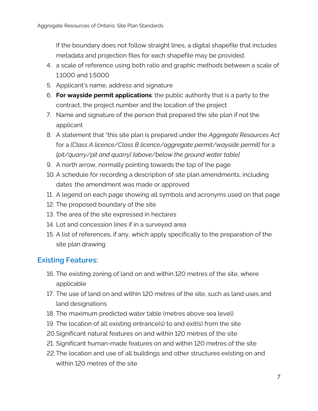If the boundary does not follow straight lines, a digital shapefile that includes metadata and projection files for each shapefile may be provided.

- 4. a scale of reference using both ratio and graphic methods between a scale of 1:1000 and 1:5000
- 5. Applicant's name, address and signature
- 6. **For wayside permit applications**: the public authority that is a party to the contract, the project number and the location of the project
- 7. Name and signature of the person that prepared the site plan if not the applicant
- 8. A statement that "this site plan is prepared under the *Aggregate Resources Act* for a *[Class A licence/Class B licence/aggregate permit/wayside permit]* for a *[pit/quarry/pit and quarry] [above/below the ground water table]*
- 9. A north arrow, normally pointing towards the top of the page
- 10. A schedule for recording a description of site plan amendments, including dates the amendment was made or approved
- 11. A legend on each page showing all symbols and acronyms used on that page
- 12. The proposed boundary of the site
- 13. The area of the site expressed in hectares
- 14. Lot and concession lines if in a surveyed area
- 15. A list of references, if any, which apply specifically to the preparation of the site plan drawing

### <span id="page-6-0"></span>**Existing Features:**

- 16. The existing zoning of land on and within 120 metres of the site, where applicable
- 17. The use of land on and within 120 metres of the site, such as land uses and land designations
- 18. The maximum predicted water table (metres above sea level)
- 19. The location of all existing entrance(s) to and exit(s) from the site
- 20.Significant natural features on and within 120 metres of the site
- 21. Significant human-made features on and within 120 metres of the site
- 22.The location and use of all buildings and other structures existing on and within 120 metres of the site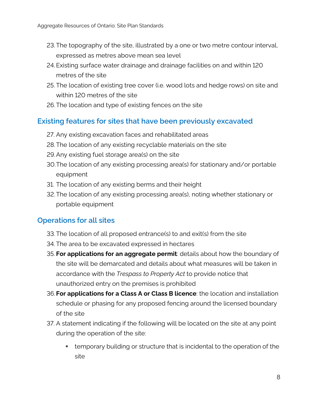- 23.The topography of the site, illustrated by a one or two metre contour interval, expressed as metres above mean sea level
- 24. Existing surface water drainage and drainage facilities on and within 120 metres of the site
- 25. The location of existing tree cover (i.e. wood lots and hedge rows) on site and within 120 metres of the site
- 26.The location and type of existing fences on the site

## <span id="page-7-0"></span>**Existing features for sites that have been previously excavated**

- 27. Any existing excavation faces and rehabilitated areas
- 28.The location of any existing recyclable materials on the site
- 29.Any existing fuel storage area(s) on the site
- 30.The location of any existing processing area(s) for stationary and/or portable equipment
- 31. The location of any existing berms and their height
- 32.The location of any existing processing area(s), noting whether stationary or portable equipment

## <span id="page-7-1"></span>**Operations for all sites**

- 33.The location of all proposed entrance(s) to and exit(s) from the site
- 34. The area to be excavated expressed in hectares
- 35. **For applications for an aggregate permit**: details about how the boundary of the site will be demarcated and details about what measures will be taken in accordance with the *Trespass to Property Act* to provide notice that unauthorized entry on the premises is prohibited
- 36.**For applications for a Class A or Class B licence**: the location and installation schedule or phasing for any proposed fencing around the licensed boundary of the site
- 37. A statement indicating if the following will be located on the site at any point during the operation of the site:
	- temporary building or structure that is incidental to the operation of the site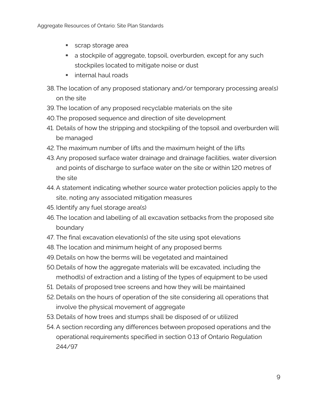- scrap storage area
- a stockpile of aggregate, topsoil, overburden, except for any such stockpiles located to mitigate noise or dust
- **internal haul roads**
- 38.The location of any proposed stationary and/or temporary processing area(s) on the site
- 39.The location of any proposed recyclable materials on the site
- 40.The proposed sequence and direction of site development
- 41. Details of how the stripping and stockpiling of the topsoil and overburden will be managed
- 42. The maximum number of lifts and the maximum height of the lifts
- 43.Any proposed surface water drainage and drainage facilities, water diversion and points of discharge to surface water on the site or within 120 metres of the site
- 44. A statement indicating whether source water protection policies apply to the site, noting any associated mitigation measures
- 45. Identify any fuel storage area(s)
- 46.The location and labelling of all excavation setbacks from the proposed site boundary
- 47. The final excavation elevation(s) of the site using spot elevations
- 48.The location and minimum height of any proposed berms
- 49.Details on how the berms will be vegetated and maintained
- 50.Details of how the aggregate materials will be excavated, including the method(s) of extraction and a listing of the types of equipment to be used
- 51. Details of proposed tree screens and how they will be maintained
- 52. Details on the hours of operation of the site considering all operations that involve the physical movement of aggregate
- 53. Details of how trees and stumps shall be disposed of or utilized
- 54. A section recording any differences between proposed operations and the operational requirements specified in section 0.13 of Ontario Regulation 244/97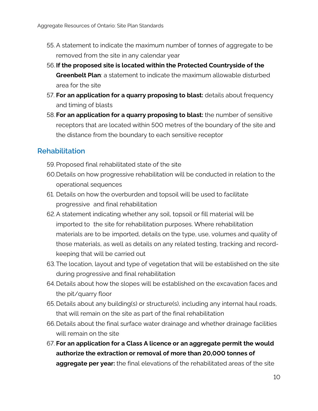- 55. A statement to indicate the maximum number of tonnes of aggregate to be removed from the site in any calendar year
- 56. **If the proposed site is located within the Protected Countryside of the Greenbelt Plan**: a statement to indicate the maximum allowable disturbed area for the site
- 57. **For an application for a quarry proposing to blast:** details about frequency and timing of blasts
- 58. **For an application for a quarry proposing to blast:** the number of sensitive receptors that are located within 500 metres of the boundary of the site and the distance from the boundary to each sensitive receptor

## <span id="page-9-0"></span>**Rehabilitation**

- 59.Proposed final rehabilitated state of the site
- 60.Details on how progressive rehabilitation will be conducted in relation to the operational sequences
- 61. Details on how the overburden and topsoil will be used to facilitate progressive and final rehabilitation
- 62.A statement indicating whether any soil, topsoil or fill material will be imported to the site for rehabilitation purposes. Where rehabilitation materials are to be imported, details on the type, use, volumes and quality of those materials, as well as details on any related testing, tracking and recordkeeping that will be carried out
- 63.The location, layout and type of vegetation that will be established on the site during progressive and final rehabilitation
- 64.Details about how the slopes will be established on the excavation faces and the pit/quarry floor
- 65. Details about any building(s) or structure(s), including any internal haul roads, that will remain on the site as part of the final rehabilitation
- 66.Details about the final surface water drainage and whether drainage facilities will remain on the site
- 67. **For an application for a Class A licence or an aggregate permit the would authorize the extraction or removal of more than 20,000 tonnes of aggregate per year:** the final elevations of the rehabilitated areas of the site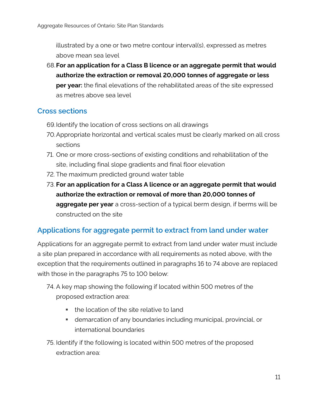illustrated by a one or two metre contour interval(s), expressed as metres above mean sea level

68.**For an application for a Class B licence or an aggregate permit that would authorize the extraction or removal 20,000 tonnes of aggregate or less per year:** the final elevations of the rehabilitated areas of the site expressed as metres above sea level

## <span id="page-10-0"></span>**Cross sections**

- 69.Identify the location of cross sections on all drawings
- 70.Appropriate horizontal and vertical scales must be clearly marked on all cross sections
- 71. One or more cross-sections of existing conditions and rehabilitation of the site, including final slope gradients and final floor elevation
- 72. The maximum predicted ground water table
- 73. **For an application for a Class A licence or an aggregate permit that would authorize the extraction or removal of more than 20,000 tonnes of aggregate per year** a cross-section of a typical berm design, if berms will be constructed on the site

## <span id="page-10-1"></span>**Applications for aggregate permit to extract from land under water**

Applications for an aggregate permit to extract from land under water must include a site plan prepared in accordance with all requirements as noted above, with the exception that the requirements outlined in paragraphs 16 to 74 above are replaced with those in the paragraphs 75 to 100 below:

- 74. A key map showing the following if located within 500 metres of the proposed extraction area:
	- **the location of the site relative to land**
	- demarcation of any boundaries including municipal, provincial, or international boundaries
- 75. Identify if the following is located within 500 metres of the proposed extraction area: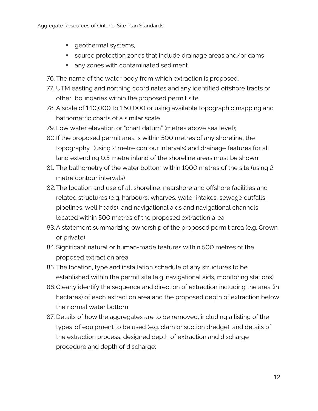- **qeothermal systems,**
- source protection zones that include drainage areas and/or dams
- **any zones with contaminated sediment**
- 76. The name of the water body from which extraction is proposed.
- 77. UTM easting and northing coordinates and any identified offshore tracts or other boundaries within the proposed permit site
- 78. A scale of 1:10,000 to 1:50,000 or using available topographic mapping and bathometric charts of a similar scale
- 79. Low water elevation or "chart datum" (metres above sea level);
- 80.If the proposed permit area is within 500 metres of any shoreline, the topography (using 2 metre contour intervals) and drainage features for all land extending 0.5 metre inland of the shoreline areas must be shown
- 81. The bathometry of the water bottom within 1000 metres of the site (using 2 metre contour intervals)
- 82.The location and use of all shoreline, nearshore and offshore facilities and related structures (e.g. harbours, wharves, water intakes, sewage outfalls, pipelines, well heads), and navigational aids and navigational channels located within 500 metres of the proposed extraction area
- 83.A statement summarizing ownership of the proposed permit area (e.g. Crown or private)
- 84.Significant natural or human-made features within 500 metres of the proposed extraction area
- 85. The location, type and installation schedule of any structures to be established within the permit site (e.g. navigational aids, monitoring stations)
- 86.Clearly identify the sequence and direction of extraction including the area (in hectares) of each extraction area and the proposed depth of extraction below the normal water bottom
- 87. Details of how the aggregates are to be removed, including a listing of the types of equipment to be used (e.g. clam or suction dredge), and details of the extraction process, designed depth of extraction and discharge procedure and depth of discharge;